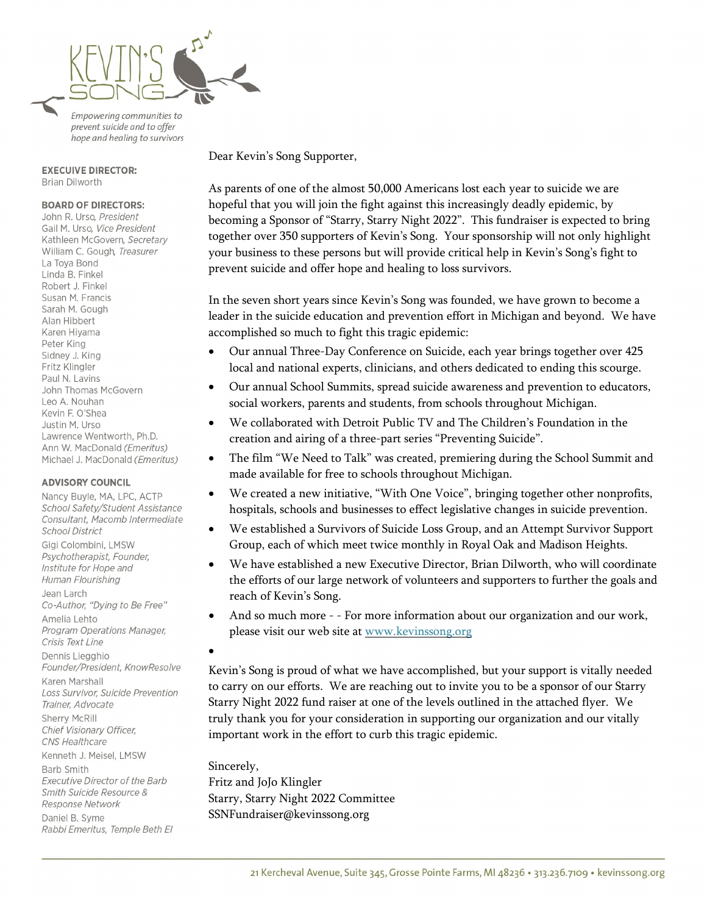

Empowering communities to prevent suicide and to offer hope and healing to survivors

#### **EXECUIVE DIRECTOR:** Brian Dilworth

#### **BOARD OF DIRECTORS:**

John R. Urso, President Gail M. Urso, Vice President Kathleen McGovern, Secretary William C. Gough, Treasurer La Toya Bond Linda B. Finkel Robert J. Finkel Susan M. Francis Sarah M. Gough Alan Hibbert Karen Hiyama Peter King Sidney J. King Fritz Klingler Paul N. Lavins John Thomas McGovern Leo A. Nouhan Kevin F. O'Shea Justin M. Urso Lawrence Wentworth, Ph.D. Ann W. MacDonald (Emeritus) Michael J. MacDonald (Emeritus)

#### **ADVISORY COUNCIL**

Nancy Buyle, MA, LPC, ACTP School Safety/Student Assistance Consultant, Macomb Intermediate **School District** Gigi Colombini, LMSW Psychotherapist, Founder, Institute for Hope and Human Flourishing Jean Larch Co-Author, "Dying to Be Free" Amelia Lehto Program Operations Manager, Crisis Text Line Dennis Liegghio Founder/President, KnowResolve Karen Marshall Loss Survivor, Suicide Prevention Trainer, Advocate Sherry McRill Chief Visionary Officer, CNS Healthcare Kenneth J. Meisel, LMSW **Barb Smith** Executive Director of the Barb Smith Suicide Resource & Response Network Daniel B. Syme Rabbi Emeritus, Temple Beth El

Dear Kevin's Song Supporter,

As parents of one of the almost 50,000 Americans lost each year to suicide we are hopeful that you will join the fight against this increasingly deadly epidemic, by becoming a Sponsor of "Starry, Starry Night 2022". This fundraiser is expected to bring together over 350 supporters of Kevin's Song. Your sponsorship will not only highlight your business to these persons but will provide critical help in Kevin's Song's fight to prevent suicide and offer hope and healing to loss survivors.

In the seven short years since Kevin's Song was founded, we have grown to become a leader in the suicide education and prevention effort in Michigan and beyond. We have accomplished so much to fight this tragic epidemic:

- Our annual Three-Day Conference on Suicide, each year brings together over 425 local and national experts, clinicians, and others dedicated to ending this scourge.
- Our annual School Summits, spread suicide awareness and prevention to educators, social workers, parents and students, from schools throughout Michigan.
- We collaborated with Detroit Public TV and The Children's Foundation in the creation and airing of a three-part series "Preventing Suicide".
- The film "We Need to Talk" was created, premiering during the School Summit and made available for free to schools throughout Michigan.
- We created a new initiative, "With One Voice", bringing together other nonprofits, hospitals, schools and businesses to effect legislative changes in suicide prevention.
- We established a Survivors of Suicide Loss Group, and an Attempt Survivor Support Group, each of which meet twice monthly in Royal Oak and Madison Heights.
- We have established a new Executive Director, Brian Dilworth, who will coordinate the efforts of our large network of volunteers and supporters to further the goals and reach of Kevin's Song.
- And so much more - For more information about our organization and our work, please visit our web site at [www.kevinssong.org](http://www.kevinssong.org/)

#### •

Kevin's Song is proud of what we have accomplished, but your support is vitally needed to carry on our efforts. We are reaching out to invite you to be a sponsor of our Starry Starry Night 2022 fund raiser at one of the levels outlined in the attached flyer. We truly thank you for your consideration in supporting our organization and our vitally important work in the effort to curb this tragic epidemic.

Sincerely, Fritz and JoJo Klingler Starry, Starry Night 2022 Committee SSNFundraiser@kevinssong.org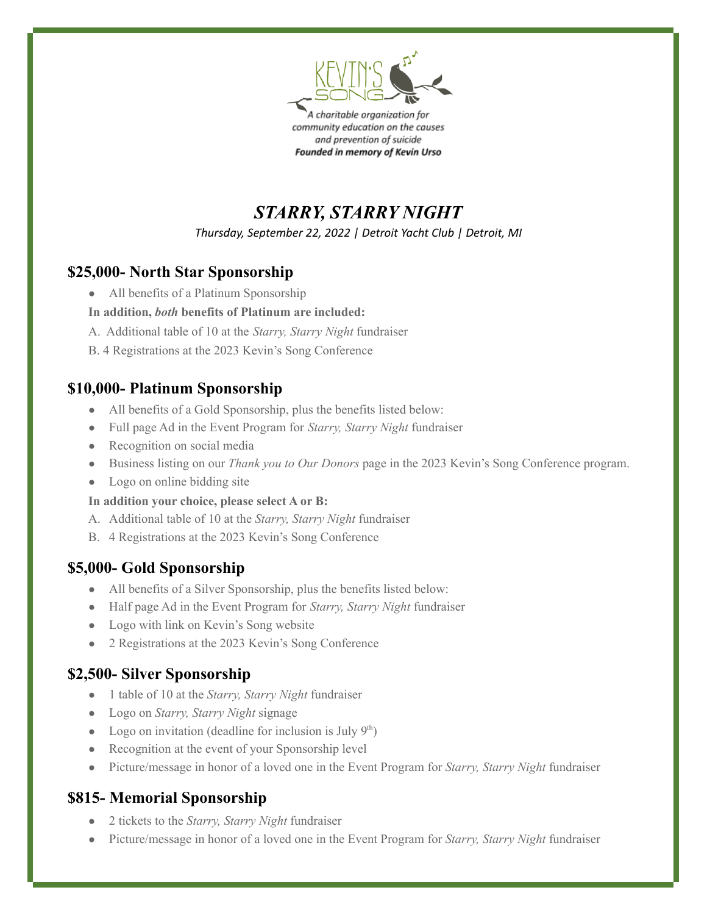

A charitable organization for community education on the causes and prevention of suicide Founded in memory of Kevin Urso

*STARRY, STARRY NIGHT*

*Thursday, September 22, 2022 | Detroit Yacht Club | Detroit, MI*

## **\$25,000- North Star Sponsorship**

All benefits of a Platinum Sponsorship

### **In addition,** *both* **benefits of Platinum are included:**

- A. Additional table of 10 at the *Starry, Starry Night* fundraiser
- B. 4 Registrations at the 2023 Kevin's Song Conference

### **\$10,000- Platinum Sponsorship**

- All benefits of a Gold Sponsorship, plus the benefits listed below:
- Full page Ad in the Event Program for *Starry, Starry Night* fundraiser
- Recognition on social media
- Business listing on our *Thank you to Our Donors* page in the 2023 Kevin's Song Conference program.
- Logo on online bidding site

#### **In addition your choice, please select A or B:**

- A. Additional table of 10 at the *Starry, Starry Night* fundraiser
- B. 4 Registrations at the 2023 Kevin's Song Conference

### **\$5,000- Gold Sponsorship**

- All benefits of a Silver Sponsorship, plus the benefits listed below:
- Half page Ad in the Event Program for *Starry, Starry Night* fundraiser
- Logo with link on Kevin's Song website
- 2 Registrations at the 2023 Kevin's Song Conference

### **\$2,500- Silver Sponsorship**

- 1 table of 10 at the *Starry, Starry Night* fundraiser
- Logo on *Starry, Starry Night* signage
- Logo on invitation (deadline for inclusion is July  $9<sup>th</sup>$ )
- Recognition at the event of your Sponsorship level
- Picture/message in honor of a loved one in the Event Program for *Starry, Starry Night* fundraiser

## **\$815- Memorial Sponsorship**

- 2 tickets to the *Starry, Starry Night* fundraiser
- Picture/message in honor of a loved one in the Event Program for *Starry, Starry Night* fundraiser